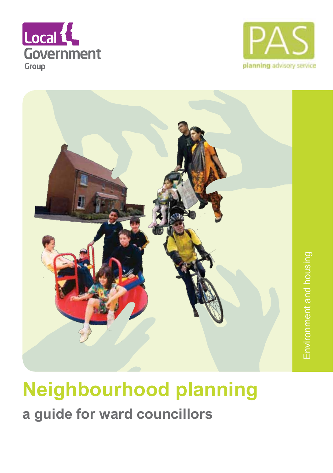





### **Neighbourhood planning a guide for ward councillors**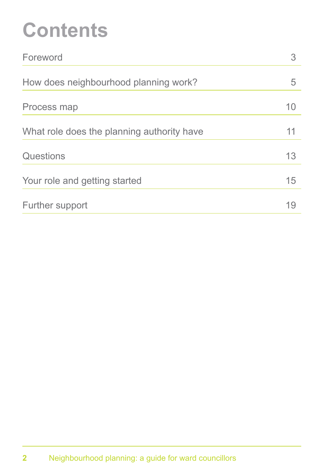## **Contents**

| Foreword                                   |    |
|--------------------------------------------|----|
| How does neighbourhood planning work?      | 5  |
| Process map                                | 10 |
| What role does the planning authority have | 11 |
| Questions                                  | 13 |
| Your role and getting started              | 15 |
| Further support                            | 19 |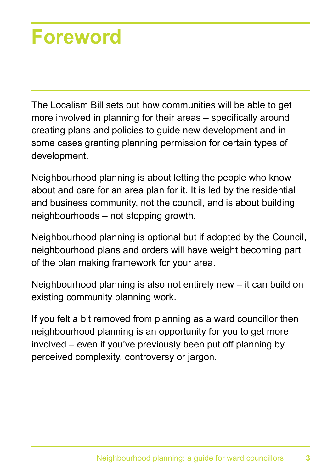### **Foreword**

The Localism Bill sets out how communities will be able to get more involved in planning for their areas – specifically around creating plans and policies to guide new development and in some cases granting planning permission for certain types of development.

Neighbourhood planning is about letting the people who know about and care for an area plan for it. It is led by the residential and business community, not the council, and is about building neighbourhoods – not stopping growth.

Neighbourhood planning is optional but if adopted by the Council, neighbourhood plans and orders will have weight becoming part of the plan making framework for your area.

Neighbourhood planning is also not entirely new – it can build on existing community planning work.

If you felt a bit removed from planning as a ward councillor then neighbourhood planning is an opportunity for you to get more involved – even if you've previously been put off planning by perceived complexity, controversy or jargon.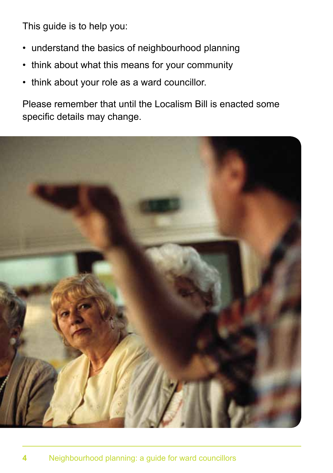This guide is to help you:

- understand the basics of neighbourhood planning
- think about what this means for your community
- think about your role as a ward councillor.

Please remember that until the Localism Bill is enacted some specific details may change.

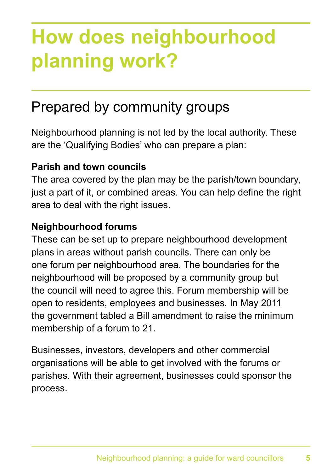## **How does neighbourhood planning work?**

### Prepared by community groups

Neighbourhood planning is not led by the local authority. These are the 'Qualifying Bodies' who can prepare a plan:

#### **Parish and town councils**

The area covered by the plan may be the parish/town boundary, just a part of it, or combined areas. You can help define the right area to deal with the right issues.

#### **Neighbourhood forums**

These can be set up to prepare neighbourhood development plans in areas without parish councils. There can only be one forum per neighbourhood area. The boundaries for the neighbourhood will be proposed by a community group but the council will need to agree this. Forum membership will be open to residents, employees and businesses. In May 2011 the government tabled a Bill amendment to raise the minimum membership of a forum to 21.

Businesses, investors, developers and other commercial organisations will be able to get involved with the forums or parishes. With their agreement, businesses could sponsor the process.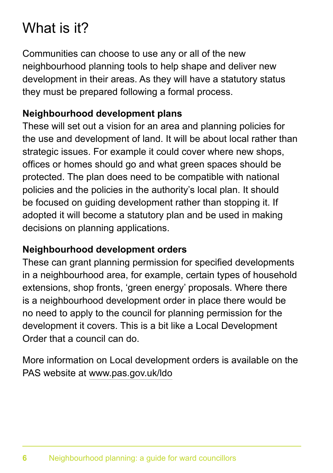### What is it?

Communities can choose to use any or all of the new neighbourhood planning tools to help shape and deliver new development in their areas. As they will have a statutory status they must be prepared following a formal process.

#### **Neighbourhood development plans**

These will set out a vision for an area and planning policies for the use and development of land. It will be about local rather than strategic issues. For example it could cover where new shops, offices or homes should go and what green spaces should be protected. The plan does need to be compatible with national policies and the policies in the authority's local plan. It should be focused on guiding development rather than stopping it. If adopted it will become a statutory plan and be used in making decisions on planning applications.

#### **Neighbourhood development orders**

These can grant planning permission for specified developments in a neighbourhood area, for example, certain types of household extensions, shop fronts, 'green energy' proposals. Where there is a neighbourhood development order in place there would be no need to apply to the council for planning permission for the development it covers. This is a bit like a Local Development Order that a council can do.

More information on Local development orders is available on the PAS website at www.pas.gov.uk/ldo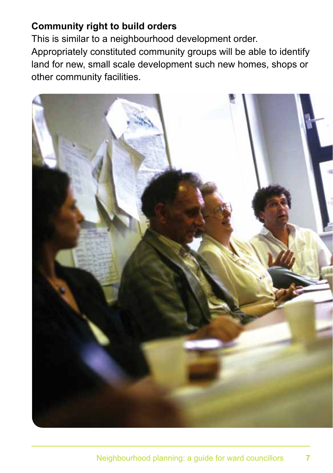#### **Community right to build orders**

This is similar to a neighbourhood development order. Appropriately constituted community groups will be able to identify land for new, small scale development such new homes, shops or other community facilities.

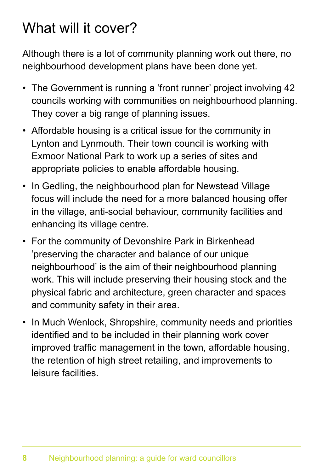### What will it cover?

Although there is a lot of community planning work out there, no neighbourhood development plans have been done yet.

- The Government is running a 'front runner' project involving 42 councils working with communities on neighbourhood planning. They cover a big range of planning issues.
- Affordable housing is a critical issue for the community in Lynton and Lynmouth. Their town council is working with Exmoor National Park to work up a series of sites and appropriate policies to enable affordable housing.
- In Gedling, the neighbourhood plan for Newstead Village focus will include the need for a more balanced housing offer in the village, anti-social behaviour, community facilities and enhancing its village centre.
- For the community of Devonshire Park in Birkenhead 'preserving the character and balance of our unique neighbourhood' is the aim of their neighbourhood planning work. This will include preserving their housing stock and the physical fabric and architecture, green character and spaces and community safety in their area.
- In Much Wenlock, Shropshire, community needs and priorities identified and to be included in their planning work cover improved traffic management in the town, affordable housing, the retention of high street retailing, and improvements to leisure facilities.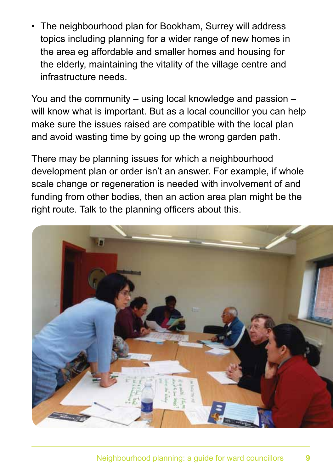• The neighbourhood plan for Bookham, Surrey will address topics including planning for a wider range of new homes in the area eg affordable and smaller homes and housing for the elderly, maintaining the vitality of the village centre and infrastructure needs.

You and the community – using local knowledge and passion – will know what is important. But as a local councillor you can help make sure the issues raised are compatible with the local plan and avoid wasting time by going up the wrong garden path.

There may be planning issues for which a neighbourhood development plan or order isn't an answer. For example, if whole scale change or regeneration is needed with involvement of and funding from other bodies, then an action area plan might be the right route. Talk to the planning officers about this.

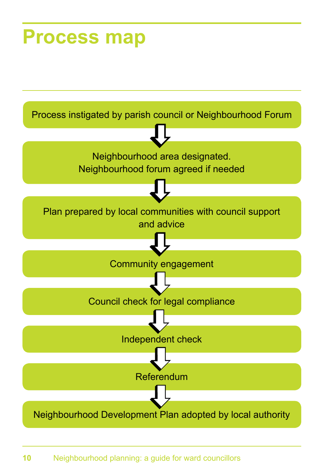### **Process map**

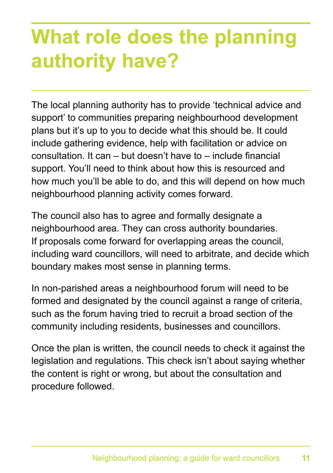## **What role does the planning authority have?**

The local planning authority has to provide 'technical advice and support' to communities preparing neighbourhood development plans but it's up to you to decide what this should be. It could include gathering evidence, help with facilitation or advice on consultation. It can – but doesn't have to – include financial support. You'll need to think about how this is resourced and how much you'll be able to do, and this will depend on how much neighbourhood planning activity comes forward.

The council also has to agree and formally designate a neighbourhood area. They can cross authority boundaries. If proposals come forward for overlapping areas the council, including ward councillors, will need to arbitrate, and decide which boundary makes most sense in planning terms.

In non-parished areas a neighbourhood forum will need to be formed and designated by the council against a range of criteria, such as the forum having tried to recruit a broad section of the community including residents, businesses and councillors.

Once the plan is written, the council needs to check it against the legislation and regulations. This check isn't about saying whether the content is right or wrong, but about the consultation and procedure followed.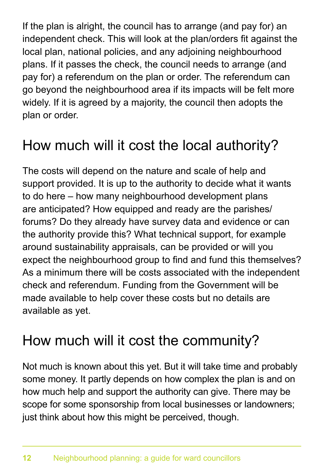If the plan is alright, the council has to arrange (and pay for) an independent check. This will look at the plan/orders fit against the local plan, national policies, and any adjoining neighbourhood plans. If it passes the check, the council needs to arrange (and pay for) a referendum on the plan or order. The referendum can go beyond the neighbourhood area if its impacts will be felt more widely. If it is agreed by a majority, the council then adopts the plan or order.

### How much will it cost the local authority?

The costs will depend on the nature and scale of help and support provided. It is up to the authority to decide what it wants to do here – how many neighbourhood development plans are anticipated? How equipped and ready are the parishes/ forums? Do they already have survey data and evidence or can the authority provide this? What technical support, for example around sustainability appraisals, can be provided or will you expect the neighbourhood group to find and fund this themselves? As a minimum there will be costs associated with the independent check and referendum. Funding from the Government will be made available to help cover these costs but no details are available as yet.

### How much will it cost the community?

Not much is known about this yet. But it will take time and probably some money. It partly depends on how complex the plan is and on how much help and support the authority can give. There may be scope for some sponsorship from local businesses or landowners; just think about how this might be perceived, though.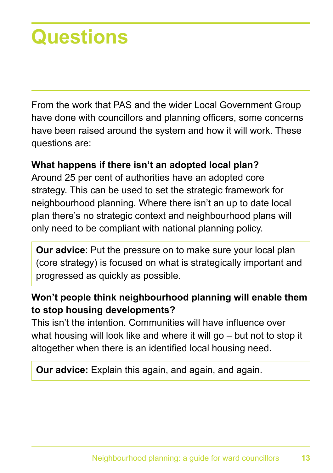## **Questions**

From the work that PAS and the wider Local Government Group have done with councillors and planning officers, some concerns have been raised around the system and how it will work. These questions are:

#### **What happens if there isn't an adopted local plan?**

Around 25 per cent of authorities have an adopted core strategy. This can be used to set the strategic framework for neighbourhood planning. Where there isn't an up to date local plan there's no strategic context and neighbourhood plans will only need to be compliant with national planning policy.

**Our advice**: Put the pressure on to make sure your local plan (core strategy) is focused on what is strategically important and progressed as quickly as possible.

#### **Won't people think neighbourhood planning will enable them to stop housing developments?**

This isn't the intention. Communities will have influence over what housing will look like and where it will go – but not to stop it altogether when there is an identified local housing need.

**Our advice:** Explain this again, and again, and again.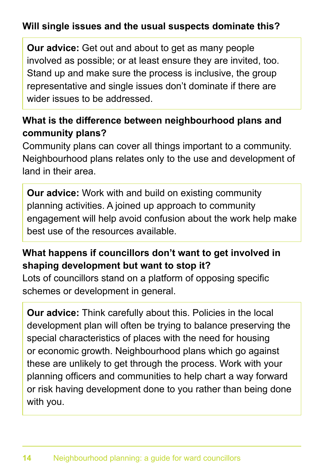#### **Will single issues and the usual suspects dominate this?**

**Our advice:** Get out and about to get as many people involved as possible; or at least ensure they are invited, too. Stand up and make sure the process is inclusive, the group representative and single issues don't dominate if there are wider issues to be addressed.

#### **What is the difference between neighbourhood plans and community plans?**

Community plans can cover all things important to a community. Neighbourhood plans relates only to the use and development of land in their area.

**Our advice:** Work with and build on existing community planning activities. A joined up approach to community engagement will help avoid confusion about the work help make best use of the resources available.

#### **What happens if councillors don't want to get involved in shaping development but want to stop it?**

 schemes or development in general. Lots of councillors stand on a platform of opposing specific

**Our advice:** Think carefully about this. Policies in the local development plan will often be trying to balance preserving the special characteristics of places with the need for housing or economic growth. Neighbourhood plans which go against these are unlikely to get through the process. Work with your planning officers and communities to help chart a way forward or risk having development done to you rather than being done with you.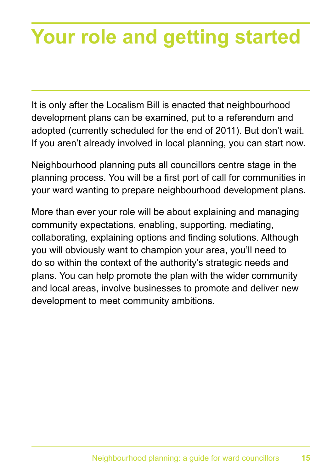# **Your role and getting started**

It is only after the Localism Bill is enacted that neighbourhood development plans can be examined, put to a referendum and adopted (currently scheduled for the end of 2011). But don't wait. If you aren't already involved in local planning, you can start now.

Neighbourhood planning puts all councillors centre stage in the planning process. You will be a first port of call for communities in your ward wanting to prepare neighbourhood development plans.

More than ever your role will be about explaining and managing community expectations, enabling, supporting, mediating, collaborating, explaining options and finding solutions. Although you will obviously want to champion your area, you'll need to do so within the context of the authority's strategic needs and plans. You can help promote the plan with the wider community and local areas, involve businesses to promote and deliver new development to meet community ambitions.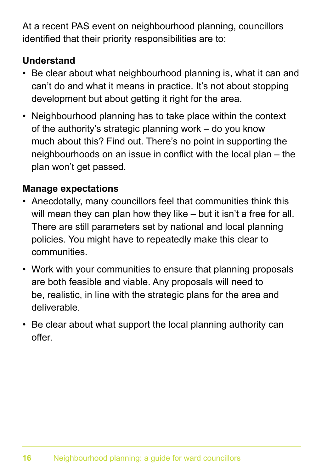At a recent PAS event on neighbourhood planning, councillors identified that their priority responsibilities are to:

#### **Understand**

- Be clear about what neighbourhood planning is, what it can and can't do and what it means in practice. It's not about stopping development but about getting it right for the area.
- Neighbourhood planning has to take place within the context of the authority's strategic planning work – do you know much about this? Find out. There's no point in supporting the neighbourhoods on an issue in conflict with the local plan – the plan won't get passed.

#### **Manage expectations**

- Anecdotally, many councillors feel that communities think this will mean they can plan how they like – but it isn't a free for all. There are still parameters set by national and local planning policies. You might have to repeatedly make this clear to communities.
- Work with your communities to ensure that planning proposals are both feasible and viable. Any proposals will need to be, realistic, in line with the strategic plans for the area and deliverable.
- Be clear about what support the local planning authority can offer.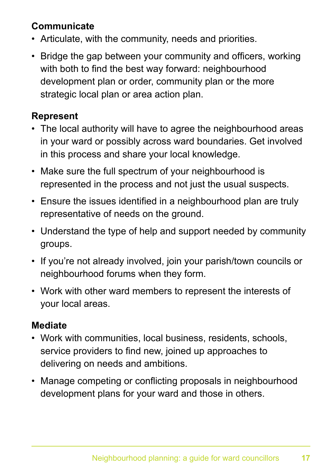#### **Communicate**

- Articulate, with the community, needs and priorities.
- Bridge the gap between your community and officers, working with both to find the best way forward: neighbourhood development plan or order, community plan or the more strategic local plan or area action plan.

#### **Represent**

- The local authority will have to agree the neighbourhood areas in your ward or possibly across ward boundaries. Get involved in this process and share your local knowledge.
- Make sure the full spectrum of your neighbourhood is represented in the process and not just the usual suspects.
- Ensure the issues identified in a neighbourhood plan are truly representative of needs on the ground.
- Understand the type of help and support needed by community groups.
- If you're not already involved, join your parish/town councils or neighbourhood forums when they form.
- Work with other ward members to represent the interests of your local areas.

#### **Mediate**

- Work with communities, local business, residents, schools, service providers to find new, joined up approaches to delivering on needs and ambitions.
- Manage competing or conflicting proposals in neighbourhood development plans for your ward and those in others.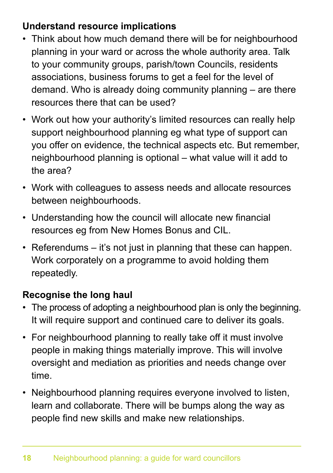#### **Understand resource implications**

- Think about how much demand there will be for neighbourhood planning in your ward or across the whole authority area. Talk to your community groups, parish/town Councils, residents associations, business forums to get a feel for the level of demand. Who is already doing community planning – are there resources there that can be used?
- Work out how your authority's limited resources can really help support neighbourhood planning eg what type of support can you offer on evidence, the technical aspects etc. But remember, neighbourhood planning is optional – what value will it add to the area?
- Work with colleagues to assess needs and allocate resources between neighbourhoods.
- Understanding how the council will allocate new financial resources eg from New Homes Bonus and CIL.
- $\cdot$  Referendums it's not just in planning that these can happen. Work corporately on a programme to avoid holding them repeatedly.

#### **Recognise the long haul**

- The process of adopting a neighbourhood plan is only the beginning. It will require support and continued care to deliver its goals.
- For neighbourhood planning to really take off it must involve people in making things materially improve. This will involve oversight and mediation as priorities and needs change over time.
- Neighbourhood planning requires everyone involved to listen, learn and collaborate. There will be bumps along the way as people find new skills and make new relationships.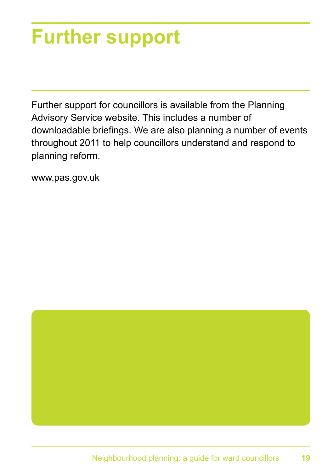## **Further support**

Further support for councillors is available from the Planning Advisory Service website. This includes a number of downloadable briefings. We are also planning a number of events throughout 2011 to help councillors understand and respond to planning reform.

www.pas.gov.uk